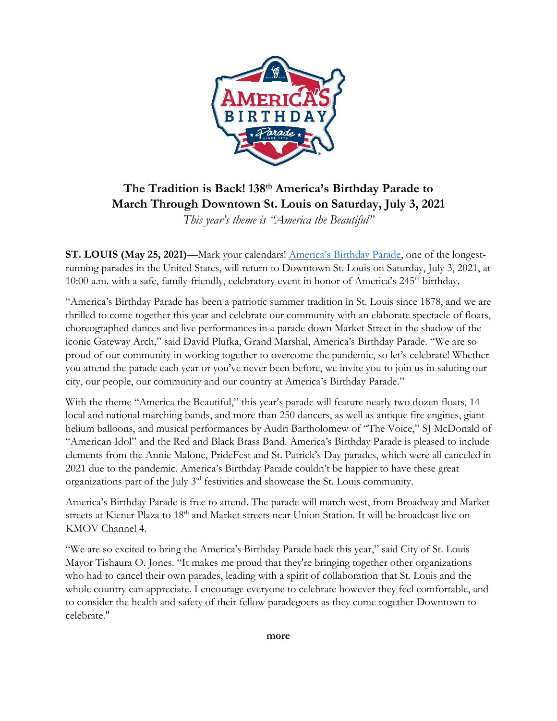

## **The Tradition is Back! 138th America's Birthday Parade to March Through Downtown St. Louis on Saturday, July 3, 2021**

*This year's theme is "America the Beautiful"*

**ST. LOUIS (May 25, 2021)**—Mark your calendars! [America's Birthday Parade](https://www.americasbirthdayparade.com/), one of the longestrunning parades in the United States, will return to Downtown St. Louis on Saturday, July 3, 2021, at 10:00 a.m. with a safe, family-friendly, celebratory event in honor of America's 245<sup>th</sup> birthday.

"America's Birthday Parade has been a patriotic summer tradition in St. Louis since 1878, and we are thrilled to come together this year and celebrate our community with an elaborate spectacle of floats, choreographed dances and live performances in a parade down Market Street in the shadow of the iconic Gateway Arch," said David Plufka, Grand Marshal, America's Birthday Parade. "We are so proud of our community in working together to overcome the pandemic, so let's celebrate! Whether you attend the parade each year or you've never been before, we invite you to join us in saluting our city, our people, our community and our country at America's Birthday Parade."

With the theme "America the Beautiful," this year's parade will feature nearly two dozen floats, 14 local and national marching bands, and more than 250 dancers, as well as antique fire engines, giant helium balloons, and musical performances by Audri Bartholomew of "The Voice," SJ McDonald of "American Idol" and the Red and Black Brass Band. America's Birthday Parade is pleased to include elements from the Annie Malone, PrideFest and St. Patrick's Day parades, which were all canceled in 2021 due to the pandemic. America's Birthday Parade couldn't be happier to have these great organizations part of the July 3rd festivities and showcase the St. Louis community.

America's Birthday Parade is free to attend. The parade will march west, from Broadway and Market streets at Kiener Plaza to 18<sup>th</sup> and Market streets near Union Station. It will be broadcast live on KMOV Channel 4.

"We are so excited to bring the America's Birthday Parade back this year," said City of St. Louis Mayor Tishaura O. Jones. "It makes me proud that they're bringing together other organizations who had to cancel their own parades, leading with a spirit of collaboration that St. Louis and the whole country can appreciate. I encourage everyone to celebrate however they feel comfortable, and to consider the health and safety of their fellow paradegoers as they come together Downtown to celebrate."